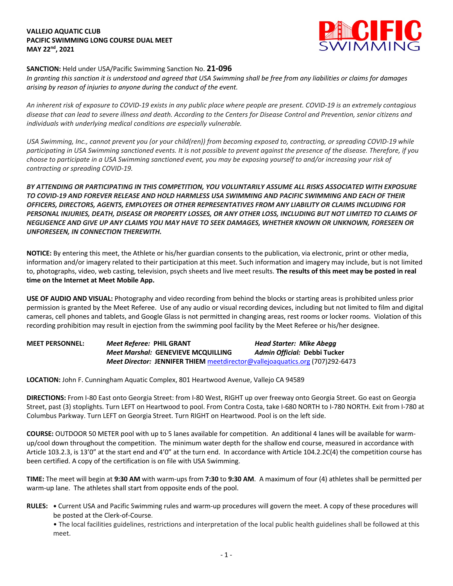## **VALLEJO AQUATIC CLUB PACIFIC SWIMMING LONG COURSE DUAL MEET MAY 22nd, 2021**



## **SANCTION:** Held under USA/Pacific Swimming Sanction No. **21-096**

*In granting this sanction it is understood and agreed that USA Swimming shall be free from any liabilities or claims for damages arising by reason of injuries to anyone during the conduct of the event.* 

*An inherent risk of exposure to COVID-19 exists in any public place where people are present. COVID-19 is an extremely contagious disease that can lead to severe illness and death. According to the Centers for Disease Control and Prevention, senior citizens and individuals with underlying medical conditions are especially vulnerable.*

*USA Swimming, Inc., cannot prevent you (or your child(ren)) from becoming exposed to, contracting, or spreading COVID-19 while participating in USA Swimming sanctioned events. It is not possible to prevent against the presence of the disease. Therefore, if you choose to participate in a USA Swimming sanctioned event, you may be exposing yourself to and/or increasing your risk of contracting or spreading COVID-19.*

*BY ATTENDING OR PARTICIPATING IN THIS COMPETITION, YOU VOLUNTARILY ASSUME ALL RISKS ASSOCIATED WITH EXPOSURE TO COVID-19 AND FOREVER RELEASE AND HOLD HARMLESS USA SWIMMING AND PACIFIC SWIMMING AND EACH OF THEIR OFFICERS, DIRECTORS, AGENTS, EMPLOYEES OR OTHER REPRESENTATIVES FROM ANY LIABILITY OR CLAIMS INCLUDING FOR PERSONAL INJURIES, DEATH, DISEASE OR PROPERTY LOSSES, OR ANY OTHER LOSS, INCLUDING BUT NOT LIMITED TO CLAIMS OF NEGLIGENCE AND GIVE UP ANY CLAIMS YOU MAY HAVE TO SEEK DAMAGES, WHETHER KNOWN OR UNKNOWN, FORESEEN OR UNFORESEEN, IN CONNECTION THEREWITH.*

**NOTICE:** By entering this meet, the Athlete or his/her guardian consents to the publication, via electronic, print or other media, information and/or imagery related to their participation at this meet. Such information and imagery may include, but is not limited to, photographs, video, web casting, television, psych sheets and live meet results. **The results of this meet may be posted in real time on the Internet at Meet Mobile App.**

**USE OF AUDIO AND VISUAL:** Photography and video recording from behind the blocks or starting areas is prohibited unless prior permission is granted by the Meet Referee. Use of any audio or visual recording devices, including but not limited to film and digital cameras, cell phones and tablets, and Google Glass is not permitted in changing areas, rest rooms or locker rooms. Violation of this recording prohibition may result in ejection from the swimming pool facility by the Meet Referee or his/her designee.

**MEET PERSONNEL:** *Meet Referee:* **PHIL GRANT** *Head Starter: Mike Abegg Meet Marshal:* **GENEVIEVE MCQUILLING** *Admin Official:* **Debbi Tucker** *Meet Director:* **JENNIFER THIEM** meetdirector@vallejoaquatics.org (707)292-6473

**LOCATION:** John F. Cunningham Aquatic Complex, 801 Heartwood Avenue, Vallejo CA 94589

**DIRECTIONS:** From I-80 East onto Georgia Street: from I-80 West, RIGHT up over freeway onto Georgia Street. Go east on Georgia Street, past (3) stoplights. Turn LEFT on Heartwood to pool. From Contra Costa, take I-680 NORTH to I-780 NORTH. Exit from I-780 at Columbus Parkway. Turn LEFT on Georgia Street. Turn RIGHT on Heartwood. Pool is on the left side.

**COURSE:** OUTDOOR 50 METER pool with up to 5 lanes available for competition. An additional 4 lanes will be available for warmup/cool down throughout the competition. The minimum water depth for the shallow end course, measured in accordance with Article 103.2.3, is 13'0" at the start end and 4'0" at the turn end. In accordance with Article 104.2.2C(4) the competition course has been certified. A copy of the certification is on file with USA Swimming.

**TIME:** The meet will begin at **9:30 AM** with warm-ups from **7:30** to **9:30 AM**. A maximum of four (4) athletes shall be permitted per warm-up lane. The athletes shall start from opposite ends of the pool.

**RULES: •** Current USA and Pacific Swimming rules and warm-up procedures will govern the meet. A copy of these procedures will be posted at the Clerk-of-Course.

• The local facilities guidelines, restrictions and interpretation of the local public health guidelines shall be followed at this meet.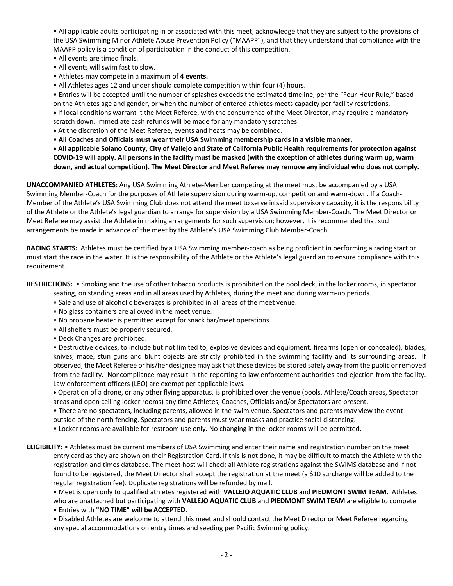• All applicable adults participating in or associated with this meet, acknowledge that they are subject to the provisions of the USA Swimming Minor Athlete Abuse Prevention Policy ("MAAPP"), and that they understand that compliance with the MAAPP policy is a condition of participation in the conduct of this competition.

- All events are timed finals.
- All events will swim fast to slow.
- Athletes may compete in a maximum of **4 events.**

• All Athletes ages 12 and under should complete competition within four (4) hours.

• Entries will be accepted until the number of splashes exceeds the estimated timeline, per the "Four-Hour Rule," based on the Athletes age and gender, or when the number of entered athletes meets capacity per facility restrictions.

**•** If local conditions warrant it the Meet Referee, with the concurrence of the Meet Director, may require a mandatory scratch down. Immediate cash refunds will be made for any mandatory scratches.

**•** At the discretion of the Meet Referee, events and heats may be combined.

• **All Coaches and Officials must wear their USA Swimming membership cards in a visible manner.** 

**• All applicable Solano County, City of Vallejo and State of California Public Health requirements for protection against COVID-19 will apply. All persons in the facility must be masked (with the exception of athletes during warm up, warm down, and actual competition). The Meet Director and Meet Referee may remove any individual who does not comply.**

**UNACCOMPANIED ATHLETES:** Any USA Swimming Athlete-Member competing at the meet must be accompanied by a USA Swimming Member-Coach for the purposes of Athlete supervision during warm-up, competition and warm-down. If a Coach-Member of the Athlete's USA Swimming Club does not attend the meet to serve in said supervisory capacity, it is the responsibility of the Athlete or the Athlete's legal guardian to arrange for supervision by a USA Swimming Member-Coach. The Meet Director or Meet Referee may assist the Athlete in making arrangements for such supervision; however, it is recommended that such arrangements be made in advance of the meet by the Athlete's USA Swimming Club Member-Coach.

**RACING STARTS:** Athletes must be certified by a USA Swimming member-coach as being proficient in performing a racing start or must start the race in the water. It is the responsibility of the Athlete or the Athlete's legal guardian to ensure compliance with this requirement.

**RESTRICTIONS:** • Smoking and the use of other tobacco products is prohibited on the pool deck, in the locker rooms, in spectator

seating, on standing areas and in all areas used by Athletes, during the meet and during warm-up periods.

- Sale and use of alcoholic beverages is prohibited in all areas of the meet venue.
- No glass containers are allowed in the meet venue.
- No propane heater is permitted except for snack bar/meet operations.
- All shelters must be properly secured.
- Deck Changes are prohibited.

• Destructive devices, to include but not limited to, explosive devices and equipment, firearms (open or concealed), blades, knives, mace, stun guns and blunt objects are strictly prohibited in the swimming facility and its surrounding areas. If observed, the Meet Referee or his/her designee may ask that these devices be stored safely away from the public or removed from the facility. Noncompliance may result in the reporting to law enforcement authorities and ejection from the facility. Law enforcement officers (LEO) are exempt per applicable laws.

• Operation of a drone, or any other flying apparatus, is prohibited over the venue (pools, Athlete/Coach areas, Spectator areas and open ceiling locker rooms) any time Athletes, Coaches, Officials and/or Spectators are present.

• There are no spectators, including parents, allowed in the swim venue. Spectators and parents may view the event outside of the north fencing. Spectators and parents must wear masks and practice social distancing.

• Locker rooms are available for restroom use only. No changing in the locker rooms will be permitted.

**ELIGIBILITY:** • Athletes must be current members of USA Swimming and enter their name and registration number on the meet entry card as they are shown on their Registration Card. If this is not done, it may be difficult to match the Athlete with the registration and times database. The meet host will check all Athlete registrations against the SWIMS database and if not found to be registered, the Meet Director shall accept the registration at the meet (a \$10 surcharge will be added to the regular registration fee). Duplicate registrations will be refunded by mail.

• Meet is open only to qualified athletes registered with **VALLEJO AQUATIC CLUB** and **PIEDMONT SWIM TEAM.** Athletes

who are unattached but participating with **VALLEJO AQUATIC CLUB** and **PIEDMONT SWIM TEAM** are eligible to compete. • Entries with **"NO TIME" will be ACCEPTED**.

• Disabled Athletes are welcome to attend this meet and should contact the Meet Director or Meet Referee regarding any special accommodations on entry times and seeding per Pacific Swimming policy.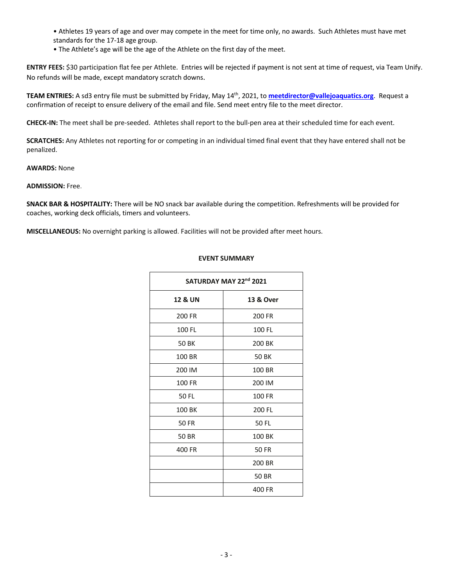• Athletes 19 years of age and over may compete in the meet for time only, no awards. Such Athletes must have met standards for the 17-18 age group.

• The Athlete's age will be the age of the Athlete on the first day of the meet.

**ENTRY FEES:** \$30 participation flat fee per Athlete. Entries will be rejected if payment is not sent at time of request, via Team Unify. No refunds will be made, except mandatory scratch downs.

**TEAM ENTRIES:** A sd3 entry file must be submitted by Friday, May 14th, 2021, to **meetdirector@vallejoaquatics.org**. Request a confirmation of receipt to ensure delivery of the email and file. Send meet entry file to the meet director.

**CHECK-IN:** The meet shall be pre-seeded. Athletes shall report to the bull-pen area at their scheduled time for each event.

**SCRATCHES:** Any Athletes not reporting for or competing in an individual timed final event that they have entered shall not be penalized.

**AWARDS:** None

**ADMISSION:** Free.

**SNACK BAR & HOSPITALITY:** There will be NO snack bar available during the competition. Refreshments will be provided for coaches, working deck officials, timers and volunteers.

**MISCELLANEOUS:** No overnight parking is allowed. Facilities will not be provided after meet hours.

## **EVENT SUMMARY**

| SATURDAY MAY 22nd 2021 |                      |
|------------------------|----------------------|
| <b>12 &amp; UN</b>     | <b>13 &amp; Over</b> |
| 200 FR                 | 200 FR               |
| 100 FL                 | 100 FL               |
| 50 BK                  | 200 BK               |
| 100 BR                 | <b>50 BK</b>         |
| 200 IM                 | 100 BR               |
| 100 FR                 | 200 IM               |
| 50 FL                  | 100 FR               |
| 100 BK                 | 200 FL               |
| <b>50 FR</b>           | 50 FL                |
| 50 BR                  | 100 BK               |
| 400 FR                 | <b>50 FR</b>         |
|                        | 200 BR               |
|                        | <b>50 BR</b>         |
|                        | 400 FR               |